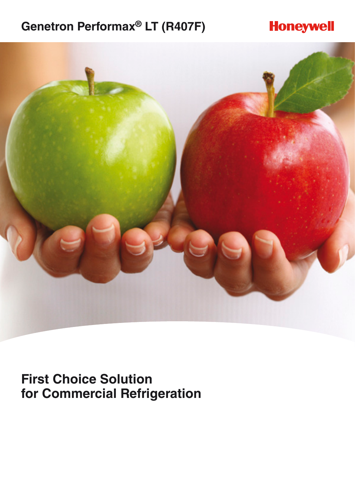# **Genetron Performax® LT (R407F)**

# **Honeywell**



**First Choice Solution for Commercial Refrigeration**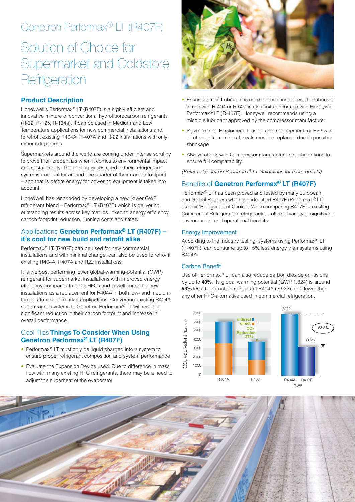# Genetron Performax® LT (R407F)

# Solution of Choice for Supermarket and Coldstore **Refrigeration**

# **Product Description**

Honeywell's Performax® LT (R407F) is a highly efficient and innovative mixture of conventional hydrofluorocarbon refrigerants (R-32, R-125, R-134a). It can be used in Medium and Low Temperature applications for new commercial installations and to retrofit existing R404A, R-407A and R-22 installations with only minor adaptations.

Supermarkets around the world are coming under intense scrutiny to prove their credentials when it comes to environmental impact and sustainability. The cooling gases used in their refrigeration systems account for around one quarter of their carbon footprint – and that is before energy for powering equipment is taken into account.

Honeywell has responded by developing a new, lower GWP refrigerant blend – Performax® LT (R407F) which is delivering outstanding results across key metrics linked to energy efficiency, carbon footprint reduction, running costs and safety.

# Applications **Genetron Performax® LT (R407F) – it's cool for new build and retrofit alike**

Performax® LT (R407F) can be used for new commercial installations and with minimal change, can also be used to retro-fit existing R404A. R407A and R22 installations.

It is the best performing lower global-warming-potential (GWP) refrigerant for supermarket installations with improved energy efficiency compared to other HFCs and is well suited for new installations as a replacement for R404A in both low- and mediumtemperature supermarket applications. Converting existing R404A supermarket systems to Genetron Performax<sup>®</sup> LT will result in significant reduction in their carbon footprint and increase in overall performance.

### Cool Tips **Things To Consider When Using Genetron Performax® LT (R407F)**

- Performax<sup>®</sup> LT must only be liquid charged into a system to ensure proper refrigerant composition and system performance
- Evaluate the Expansion Device used. Due to difference in mass flow with many existing HFC refrigerants, there may be a need to adjust the superheat of the evaporator



- Ensure correct Lubricant is used. In most instances, the lubricant in use with R-404 or R-507 is also suitable for use with Honeywell Performax® LT (R-407F). Honeywell recommends using a miscible lubricant approved by the compressor manufacturer
- Polymers and Elastomers. If using as a replacement for R22 with oil change from mineral, seals must be replaced due to possible shrinkage
- Always check with Compressor manufacturers specifications to ensure full compatability

*(Refer to Genetron Performax® LT Guidelines for more details)*

# Benefits of **Genetron Performax® LT (R407F)**

Performax® LT has been proved and tested by many European and Global Retailers who have identified R407F (Performax® LT) as their 'Refrigerant of Choice'. When comparing R407F to existing Commercial Refrigeration refrigerants, it offers a variety of significant environmental and operational benefits:

#### Energy Improvement

According to the industry testing, systems using Performax® LT (R-407F), can consume up to 15% less energy than systems using R404A.

#### Carbon Benefit

Use of Performax® LT can also reduce carbon dioxide emissions by up to **40%**. Its global warming potential (GWP 1,824) is around **53%** less than existing refrigerant R404A (3,922), and lower than any other HFC alternative used in commercial refrigeration.



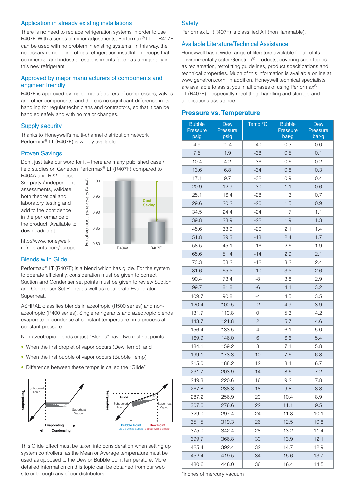#### Application in already existing installations

There is no need to replace refrigeration systems in order to use R407F. With a series of minor adjustments, Performax® LT or R407F can be used with no problem in existing systems. In this way, the necessary remodelling of gas refrigeration installation groups that commercial and industrial establishments face has a major ally in this new refrigerant.

### Approved by major manufacturers of components and engineer friendly

R407F is approved by major manufacturers of compressors, valves and other components, and there is no significant difference in its handling for regular technicians and contractors, so that it can be handled safely and with no major changes.

#### Supply security

Thanks to Honeywell's multi-channel distribution network Performax® LT (R407F) is widely available.

### Proven Savings

Don't just take our word for it – there are many published case / field studies on Genetron Performax® LT (R407F) compared to

R404A and R22. These 3rd party / independent assessments, validate both theoretical and laboratory testing and add to the confidence in the performance of the product. Available to downloaded at: **direct** 



http://www.honeywellrefrigerants.com/europe

#### Blends with Glide

Performax® LT (R407F) is a blend which has glide. For the system to operate efficiently, consideration must be given to correct Suction and Condenser set points must be given to review Suction and Condenser Set Points as well as recalibrate Evaporator Superheat.

ASHRAE classifies blends in azeotropic (R500 series) and nonazeotropic (R400 series). Single refrigerants and azeotropic blends evaporate or condense at constant temperature, in a process at constant pressure.

Non-azeotropic blends or just "Blends" have two distinct points:

- When the first droplet of vapor occurs (Dew Temp), and
- When the first bubble of vapor occurs (Bubble Temp)
- Difference between these temps is called the "Glide"



This Glide Effect must be taken into consideration when setting up system controllers, as the Mean or Average temperature must be used as opposed to the Dew or Bubble point temperature. More detailed information on this topic can be obtained from our web site or through any of our distributors.

#### **Safety**

Performax LT (R407F) is classified A1 (non flammable).

#### Available Literature/Technical Assistance

Honeywell has a wide range of literature available for all of its environmentally safer Genetron® products, covering such topics as reclamation, retrofitting guidelines, product specifications and technical properties. Much of this information is available online at www.genetron.com. In addition, Honeywell technical specialists are available to assist you in all phases of using Performax® LT (R407F) – especially retrofitting, handling and storage and applications assistance.

#### **Pressure vs. Temperature**

| <b>Bubble</b><br><b>Pressure</b><br>psig | <b>Dew</b><br><b>Pressure</b><br>psig | Temp °C        | <b>Bubble</b><br>Pressure<br>bar-g | <b>Dew</b><br><b>Pressure</b><br>bar-g |
|------------------------------------------|---------------------------------------|----------------|------------------------------------|----------------------------------------|
| 4.9                                      | $^{\ast}0.4$                          | $-40$          | 0.3                                | 0.0                                    |
| 7.5                                      | 1.9                                   | -38            | 0.5                                | 0.1                                    |
| 10.4                                     | 4.2                                   | -36            | 0.6                                | 0.2                                    |
| 13.6                                     | 6.8                                   | $-34$          | 0.8                                | 0.3                                    |
| 17.1                                     | 9.7                                   | -32            | 0.9                                | 0.4                                    |
| 20.9                                     | 12.9                                  | -30            | 1.1                                | 0.6                                    |
| 25.1                                     | 16.4                                  | -28            | 1.3                                | 0.7                                    |
| 29.6                                     | 20.2                                  | $-26$          | 1.5                                | 0.9                                    |
| 34.5                                     | 24.4                                  | -24            | 1.7                                | 1.1                                    |
| 39.8                                     | 28.9                                  | -22            | 1.9                                | 1.3                                    |
| 45.6                                     | 33.9                                  | -20            | 2.1                                | 1.4                                    |
| 51.8                                     | 39.3                                  | $-18$          | 2.4                                | 1.7                                    |
| 58.5                                     | 45.1                                  | $-16$          | 2.6                                | 1.9                                    |
| 65.6                                     | 51.4                                  | $-14$          | 2.9                                | 2.1                                    |
| 73.3                                     | 58.2                                  | -12            | 3.2                                | 2.4                                    |
| 81.6                                     | 65.5                                  | $-10$          | 3.5                                | 2.6                                    |
| 90.4                                     | 73.4                                  | -8             | 3.8                                | 2.9                                    |
| 99.7                                     | 81.8                                  | -6             | 4.1                                | 3.2                                    |
| 109.7                                    | 90.8                                  | -4             | 4.5                                | 3.5                                    |
| 120.4                                    | 100.5                                 | -2             | 4.9                                | 3.9                                    |
| 131.7                                    | 110.8                                 | 0              | 5.3                                | 4.2                                    |
| 143.7                                    | 121.8                                 | $\overline{c}$ | 5.7                                | 4.6                                    |
| 156.4                                    | 133.5                                 | 4              | 6.1                                | 5.0                                    |
| 169.9                                    | 146.0                                 | 6              | 6.6                                | 5.4                                    |
| 184.1                                    | 159.2                                 | 8              | 7.1                                | 5.8                                    |
| 199.1                                    | 173.3                                 | 10             | 7.6                                | 6.3                                    |
| 215.0                                    | 188.2                                 | 12             | 8.1                                | 6.7                                    |
| 231.7                                    | 203.9                                 | 14             | 8.6                                | 7.2                                    |
| 249.3                                    | 220.6                                 | 16             | 9.2                                | 7.8                                    |
| 267.8                                    | 238.3                                 | 18             | 9.8                                | 8.3                                    |
| 287.2                                    | 256.9                                 | 20             | 10.4                               | 8.9                                    |
| 307.6                                    | 276.6                                 | 22             | 11.1                               | 9.5                                    |
| 329.0                                    | 297.4                                 | 24             | 11.8                               | 10.1                                   |
| 351.5                                    | 319.3                                 | 26             | 12.5                               | 10.8                                   |
| 375.0                                    | 342.4                                 | 28             | 13.2                               | 11.4                                   |
| 399.7                                    | 366.8                                 | 30             | 13.9                               | 12.1                                   |
| 425.4                                    | 392.4                                 | 32             | 14.7                               | 12.9                                   |
| 452.4                                    | 419.5                                 | 34             | 15.6                               | 13.7                                   |
| 480.6                                    | 448.0                                 | 36             | 16.4                               | 14.5                                   |

\*inches of mercury vacuum